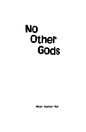# No **Other Gods**

Micah Stephen Bell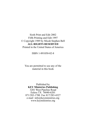Sixth Print and Edit 2002 Fifth Printing and Edit 1997 © Copyright 1989 by Micah Stephen Bell **ALL RIGHTS RESERVED** Printed in the United States of America

ISBN 1-891050-02-8

You are permitted to use any of the material in this book

Published by **KEY Ministries Publishing** 3201 West Pipeline Road Euless TX 76040-6201 871/283-1700 Fax 817/283-4327 e-mail info@keyministries.org www.keyministries.org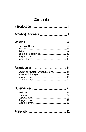## **Contents**

| Introduction                       |
|------------------------------------|
| Amazing Answers 1                  |
|                                    |
| Secret or Mystery Organizations 15 |
|                                    |
| Appendix  32                       |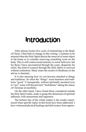## **Introduction**

After almost twenty-five years of ministering to the Body of Christ, I find little to change in this writing. I continue to be amazed when the Holy Spirit directs the removal of some object in the home or to consider removing something worn on the body. This is still controversial ministry to some believers, but for those I have encountered through the years, desperate for relief, this kind of counsel through the Holy Spirit is received without contention. Many times the results of obedience to the advise is dramatic.

It is also amazing how we can become attached to things and traditions. So often the "things" seem harmless and traditions "good." Consequently, without spiritually anointed eyes to "see," some will discard such "foolishness" taking the stance of Christian invincibility.

On the other hand, I have found those considered outside the Holy Spirit realm, ready to grasp this dimension of spiritual influence with amazement and eagerness.

The bottom line of the whole matter is the results experienced when specific topics in this book have been addressed. I have witnessed physical healings and deliverance from oppres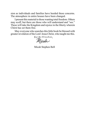sion as individuals and families have heeded these concerns. The atmosphere in entire houses have been changed.

I present this material to those wanting total freedom. Others may scoff, but there are those who will understand and "see." These will take the Kingdom and rejoice in the liberty wherein Chirst has set them free.

May everyone who searches this little book be blessed with greater revelation of the Lord Jesus Christ, who taught me this.

For the Kingdom,<br>Micale

Micah Stephen Bell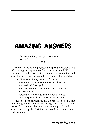## AMAZING ANSWERS

"Little children, keep yourselves from idols. Amen<sup>"</sup>

I John 5:21

There are answers to physical and spiritual problems that offer no logical explanation for the natural mind. We have been amazed to discover that certain objects, associations and special observances cause problems in some Christian's lives.

Unbelievable as it may seem, we've seen:

Healing come when some physical object was removed and destroyed...

Personal problems cease when an association was renounced ...

Personality defects go away when some seasonal or special observance was discontinued...

Most of these phenomena have been discovered while ministering. Some were learned through the sharing of information from others who minister to God's people. All have sent us searching the Scriptures for confirmation and more understanding.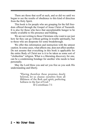There are those that scoff at such, and so did we until we began to see the results of obedience to this kind of direction from the Holy Spirit.

This book is for people who are grasping for the full freedom offered through the Gospel of Jesus Christ of Nazareth. It is also for those who have that unexplainable hunger to be totally available to His presence and bidding.

We are not writing to those Christians who want to see just how far they can go without getting in trouble spiritually, but to those who are desperate for some breakthrough.

We offer this information and instruction with the utmost caution. In some cases, what affects one, does not affect another. Do not assume that everything in this book is applicable for the entire Body of Christ nor is it to be taken as some sort of "clothesline" religion. What is a liberating discovery for one, can be a condemning bondage for another who needs to hear personally.

May the Lord bless you and set you free as you seek His understanding and liberty.

> "Having therefore these promises dearly beloved, let us cleanse ourselves from all filthiness of the flesh and spirit, perfecting holiness in the fear of God."

II Corinthians 7:1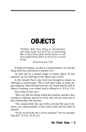## **OBJECTS**

"Neither shalt thou bring an abomination into thine house lest thou he a cursed thing like it: [but] thou shalt utterly detest it, and thou shalt utterly abhor it; for it [is] a cursed thing."

Deuteronomy 7:26

In light of Scripture, an idol is a representation. It is not the thing itself but a portrayal or picture of it.

An idol can be a mental image or actual object. In this material, we are referring to the object type of idol.

In the Apostle Paul's day food was brought to statues as offerings to certain gods. This is still done today in many pagan religions. Paul told the believers at Corinth that the idol or object is nothing, even when food is offered to it. (I Cor. 5:4)

Note what he also says:

"But I say that the things which the Gentiles sacrifice they sacrifice to demons and not to God, and I do not want you to have fellowship with demons.

"You cannot drink the cup of the Lord and the cup of demons; you cannot partake of the Lord's table and the table of demons.

"Or do we provoke the Lord to jealousy? Are we stronger than He?" (I Cor. 10:20-22).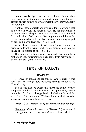In other words, objects are not the problem. It's what they bring with them. Some objects attract demons, and the possessors of such objects fellowship with the evil spirits, usually unknowingly.

Another reason objects are problems for Believers is that no object can reveal the nature of God. He has made man to be in His image. The purpose of the reincarnation is to reveal God in the flesh. Paul warned, "We ought not to think that the Divine Nature is like gold or silver or stone, something shaped by art's and man's devising." (Acts 17:29)

We are the expression that God wants. As we commune in personal fellowship with Christ, we are transformed into the image of His Nature. (See Heb. 1: 1-3)

The following lists are to help you find what might be a problem in your surroundings. They come from many discoveries of the past years in ministry.

### TYPES OF OBJECTS

#### **JEWELRY**

Before Jacob could go to the house of God (Bethel), it was necessary that foreign idols including earrings, be put away. (Gen 35: 1-4)

You should also be aware that there are some jewelry companies that have been formed and are operated by people in witchcraft. One such organization includes a form of the word "coven" in their name. We have found such items to be sources of problems in believers' lives.

Rings - Can represent strong attachment and/or bondage.

Example: One lady wearing a "Nefertiti" (the name of an Egyptian queen ring had a kidney problem called "Ne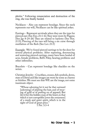phritis." Following renunciation and destruction of the ring, she was finally healed.

Necklaces - Also can represent bondage. Since the neck represents our will, Necklaces can be like spiritual yokes.

Earrings - Represent servitude when they are the type for pierced ears (See Exo. 21:1-6); They were worn by Pagans; (See Jgs 8-24-26) They are related to harlotry (See Hos. 2:13); Piercing of the ears will bring a sin curse through mutilation of the flesh (See Lev. 21:5)

Example: We've found pierced earrings to be the door for several physical problems. After repenting, denouncing and removing pierced earrings, many have been healed of acne, female problems, Bell's Palsy, hearing problems and other infirmities.

Bracelets - Can represent bondage like shackles on the wrists.

Christian Jewelry - Crucifixes, crosses, fish symbols, doves, stars of David and like images are worn by some as charms or fetishes. We must see that WE are the image, not some inanimate object.

"Whose adorning let it not be that outward [adorning] of plaiting the hair, and of wearing of gold or of putting on of apparel; But [let it be] the hidden man of the heart, in that which is not corruptible [even the ornament] of a meek and quiet spirit, which is in the sight of God of great price."

1 Pet. 3:3-4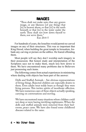## IMAGES

"Thou shalt not make unto thee any graven image, or any likeness [of any thing] that [is] in heaven above, or that [is] in the earth beneath or that [is] in the water under the earth: Thou shalt not bow down thyself to them, nor serve them." Exo 20:4-5

For hundreds of years, the Israelites would permit no carved images on any of their structures. This was so important that King Herod, when building the great temple in Jerusalem, forbade any carving or picture on the edifice. He feared offending them.

Most people will say they don't worship such imagery in their possession. But honest study and interpretation of the Scriptures says not to make them, much less bow down to them. We have encountered many problems due to Believers just possessing such items.

The following comes from actual experiences in ministering where dealing with objects has been part of the answer:

Dolls and Stuffed Animals - Are obvious representations of living things. Rejected children are especially drawn to them. Even adults treat teddy bears as though they were living persons. This invites spirits of inordinate affection. We have numerous cases of these objects actually speaking, carrying on conversations and moving.

We have encountered many situations where children could not sleep or were having terrifying nightmares. When the dolls and stuffed animals were removed from their bedrooms, peace came. We have also found some childhood diseases related to the same.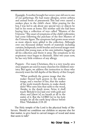Example: A mother brought her seven-year old son to one of our gatherings. He had many allergies, severe asthma and annual bouts of pneumonia This had even caused a sunken place in the child's chest. After praying for the boy, I was led to ask about any special toys or objects he had in his room at home. His mother said she had been buying him a collection of toys called "Masters of the Universe." The onset of symptoms of the child's infirmities had come following the purchase of the first Masters of the Universe figure. The symptoms had grown more severe as more objects were added to the collection. Although over one thousand dollars' worth of materials including curtains, bedspreads, tooth brushes and several images were involved, this young man, at his own initiative, bagged up all his collection and threw it away. The symptoms in his respiratory tract began to diminish. After two years now, he has very little evidence of any allergy.

Puppets - For many Christians, this is a very touchy area since puppets are used in many churches for children's ministry. But again, we address this instruction to those who sincerely want the full depths of the liberty of this Gospel.

"What profiteth the graven image that the maker thereof hath graven it; the molten image, and a teacher of lies, that the maker of his work trusteth therein, to make dumb idols? Woe unto him that saith to the wood, Awake, to the dumb stone, Arise, it shall teach! Behold it [is] laid over with gold and silver, and [there is] no breath at all in the midst of it. But the LORD [is] in his holy temple: let all the earth keep silence before Him."Habakkuk 2:18-20

The Holy temple of the Lord is the physical body of Believers. Should we condition our children or anyone else for that matter, to give heed to carved images of wood and stone that seem to talk?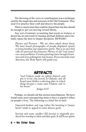The throwing of the voice or ventriloquism was a technique used by the magicians and sorcerers in the Old Testament. They used it to practice their craft and deceive the people.

There is much more that could be shared here but this should be enough to get you moving toward liberty.

Any sort of ministry or teaching that resorts to trickery or deceit has an end result of causing spiritual dullness and eventually opens the door to deeper deception. BEWARE!

Photos and Pictures - We are often asked about these. We have found photographs of people displayed openly to bring familiar and oppressive spirits. This is an area that calls for personal discernment. Photos of old "soul mates" can cause problems. Certain paintings have brought heaviness and even poltergeists into homes. If you sincerely want direction, the Holy Spirit will guide you.

## ARTIFACTS

"and Gideon made an ephod thereof, and put it in his city, [even] in Ophrah: and all Israel went thither a whoring after it: which thing became a snare unto Gideon, and to his house."

Judges 8:27

Perhaps, we should call this section miscellaneous. We have found some most unsuspecting items to have a negative effect on people's lives. The following is a brief list of such:

Imported baskets and rugs (often the knotting is "prayer knots" made to appeal to some demon god);

Incense and some candles (All incense is originally produced for worship to idols and false gods. It will loose spirits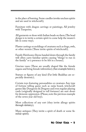in the place of burning. Some candles invoke unclean spirits and are used in witchcraft);

Furniture with dragon carvings or paintings; All jewelry with Turquoise;

All garments or shoes with Indian beads on them (The bead design is to invite a certain spirit to come help the wearer's life in some way);

Plaster castings or moldings of creatures such as frogs, owls, or other vermin (These invite spirits of witchcraft);

Family Heirlooms (Items handed down through the family will often carry familiar spirits causing "things' to run in the family" or a presence to be felt in a house);

Grecian vases (These are usually shaped like the female organs and bring female infirmities); (See example below);

Statues or figures of any kind (Fat little Buddhas are especially demonic);

Certain toys featuring personalities or creatures Any type of fortune telling game such as ouija board, witchcraft games like Dungeons & Dragons and even regular playing cards (originally designed to tell fortunes) are sure doors for demonic oppression. (Please, note the previous example of the seven year old boy);

Most collections of any sort (they invite allergy spirits through idolatry);

Many antiques (They invite a spirit of death or some familiar spirit).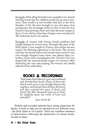Example: After tiling his bathroom a neighbor of a church member found that his children would not go into it anymore. They would cry and tremble with fear at the door. Samples of the tile were brought to me, and upon close examination the seemingly swirls of color on the tile were found to have grotesque faces and other demonic images in them. It was obvious that these designs were not planned. The bathroom had to be redone.

**Example:** A woman with chronic female problems had sought healing for several years. Through direction of the Holy Spirit a vase bought in Greece years before became suspect for allowing oppression in the home. The woman said that the family had moved several times and the vase, even though dropped many times, was always there unbroken. Upon closer investigation, the "Grecian Urn" was shaped like the internal female organs of a woman! After destroying the vase and praying, the woman was finally relieved of her infirmities.

## BOOKS & RECORDINGS

"And many that believed came and confessed and shewed their deeds. Many of them also which used curious arts brought their books together, and burned them before all [men]: and they counted the price of them, and found [it] fifty thousand [pieces] of silver. So mightily grew the word of God and prevailed."

Acts 19:18-20

Written and recorded material have strong attractions for spirits. A book or tape can be anointed in two different ways - the Holy Spirit or evil spirits. There are countless instances of deliverances following the destruction of certain books, records or tapes.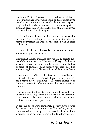Books and Written Material - Occult and witchcraft books invite evil spirits; pornographic books and magazines invite sexual spirits; romantic stories also bring sexual spirits; religious books and newsletters can be a door for spirits of error and deception. In general, the type of material invites the related type of unclean spirits.

Audio and Video Tapes - In the same way as books, this media invites related spirits. Bear in mind that the evil spirits counterfeit the work of the Holy Spirit in areas such as this.

Records - Rock and roll records bring witchcraft, sexual and suicide spirits with them.

Example. A Korean man had sent his family back to Korea while he finished his CPA exams. Every night he was awakened about the same time by, what he described as, an attack of demons coming through his bedroom ceiling and entering his chest. He was exhausted from loss of sleep.

As we prayed for relief, I had a vision of a statue of Buddha that had fallen over on its side. Upon sharing this with the Brother he was reminded of his wife's collection of Buddhist books still in his apartment. She was a practicing Buddhist.

By direction of the Holy Spirit we burned this collection of costly books. They were hand written on rice paper and hand bound by Japanese Buddhist Monks. The burning took two weeks of our spare time.

When the books were completely destroyed, we prayed for the salvation of this man's wife. Praise God, within a few days following our prayer, she gave her heart to Jesus Christ while on her way to pray at the Buddhist temple!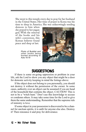She went to this temple every day to pray for her husband in the United States. Her time of prayer in Korea was his time to sleep in America. She was unknowingly sending

demons to him when she prayed to her pagan god. With the removal of the books and his wife's conversion, this Korean believer found peace and sleep at last.

> Photo of Buddist and other books being burned according to Acts 19:19



## SUGGESTIONS

If there is some on-going oppression or problem in your life, ask the Lord to show you any object that might be a door for demonic activity keeping in mind the listings above.

If the object does not belong to you personally, you should not destroy it without the permission of the owner. In some cases, authority over an object can be assumed if you are head of the household that contains the object. CAUTION! This is not to be a "witch hunt." Don't use this knowledge to accuse or condemn others. It may take some time for the Lord to give them the same understanding. Remember that the supreme rule of ministry is love.

If some object in your possession is discovered to be a channel for unclean spirits, it is unfit for anyone else also. Destroy it! Then renounce it and pray for deliverance.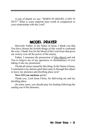A rule of thumb we use: "WHEN IN DOUBT, CAST IT OUT!" What is some material item worth in comparison to your relationship with the Lord?

## MODEL PRAYER

Heavenly Father, in the Name of Jesus, I thank you that You have chosen the foolish things of this world to confound the wise. I thank You for the blood of the Lord Jesus that gives me victory over all the power of the enemy.

Father, I renounce the possession of (the object) and ask You to forgive me of my ignorance or disobedience of ever taking it into my possession

I break all curses caused by this thing. In the Name of Jesus, I command every demon spirit that came in through this object to leave my presence and dwelling place now!

#### **Now GO you unclean** spirits!

Thank you, Lord Jesus Christ, for delivering me and my dwelling place.

(In some cases, you should pray for healing following the casting out of the demons).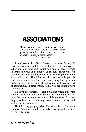## ASSOCIATIONS

"Know ye not, that to whom ye yield yourselves to obey, to his servants ye are to whom ye obey; whether of sin unto death or of obedience unto righteousness?" Romans 6:16

To understand the effect of associations in one's life, it's necessary to understand the Biblical principle of submission. When one joins some organization or group, he places himself under the influence of their beliefs and actions. The submission principle causes a "flowing down" from leadership influencing all those involved. This influence will manifest in the participants' even though they don't know everything that's going on in the organization or group. This, of course, is the crucial part of associations. In other words, "What you see is not always what you get."

We have encountered several situations where Believers couldn't understand why some problem was continuing in their lives. Deliverance would not hold until they repented from belonging and renounced some organization they were associated with in the past or present.

The following groupings should help identify problem associations. They, *too,* come from actual experience and guidance by the Holy Spirit: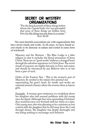## SECRET OR MYSTERY ORGANIZATIONS

"For the king knoweth of these things before whom also I speak freely: for l am persuaded that none of these things are hidden from him; <u>for this thing was not done in a corner</u>."  $Acts$  26.26

The most harmful associations are with organizations that have secret rituals and works. In all cases, we have found secret rituals to be demonic in nature and rooted in some form of witchcraft.

Masonry and the Shriners - The Blue Lodge is a false religion in that it excludes the blood atonement of Jesus Christ. There are no "good works" without a changed heart through the salvation experience in Christ Jesus. The secret rituals of masonry are highly demonic in form and nature and should be renounced by any Believer who is or has been a part of such.

Order of the Eastern Star - This is the women's part of Masonry. Its symbol is the satanic five pointed star representing the goat's head. Its rituals and works are centered around a harem where the women dress as harem girls.

**Example:** A woman gave testimony at a workshop about her daughter who had unusual problems with the young men she dated. Although they were upstanding Christians they would become very forward with her when on a date. One young man, who was planning to be a minister, so lost control with the daughter that he fell away from the Lord through shame. The daughter was deeply distraught and was doing nothing to encourage such behavior.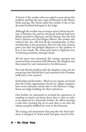A friend of the mother who was asked to pray about this problem said that she saw a sign of Masonry or the Shrine while praying. The friend asked the mother if she or her deceased husband belonged to the lodge.

Although the mother was no longer active, before becoming a Christian, she and her deceased, husband had been deeply involved in Masonry and the Eastern Star. He had been a Shriner and 33rd Degree Mason. The mother also realized that she still had all the paraphernalia of their membership in her possession. She not only had a harem gown, but also had pledged allegiance to the goddess of love in her rituals. The ritual went back to Egyptian lore of drawing prostitutes through rituals.

All the items were destroyed. The mother repented and renounced her association with Masonry. The daughter was then prayed for and ministered to for deliverance.

Not only did the problem with the daughter cease, but the young man who had left the Lord, returned to his Christian walk and is now a pastor!

Fraternities and Sororities - Much to our surprise, we found that the Greek organizations found on college campuses have secret initiation rituals akin to the Masonic Lodge. Some use lodge buildings for their initiations.

One brother we ministered to revealed his experience of crawling on hands and knees from altar to altar in order to be approved as a fraternity brother. An officer wearing a robe and a pointed hat sat at each altar to see that the initiate properly fulfilled his vows to the fraternity.

The hazing and harassment that precedes the final initiation, is designed to "brain wash" and gain control of the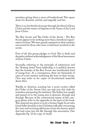members giving them a sense of brotherhood. This opens doors for demonic activity and ungodly soul ties.

There is no brotherhood except through the blood of Jesus Christ and the waters of baptism in the Name of the Lord Jesus Christ.

The Boy Scouts and The Order of the Arrow - The Boy Scouts appear to be nothing more than a beneficial organization for boys. We were greatly surprised at what ministry uncovered for those who were or had been involved in the scouts.

First of all, this group pledges to God. This is futile and deceptive without acknowledgment of the blood atonement of Jesus Christ.

Secondly, referring to the principle of submission and the "flowing down" from leadership, it is publicly known that the founder of the Boy Scouts was inordinately fond of young boys. As a consequence, there are thousands of cases of scout masters molesting the boys in their troops. (You may write us for copies of documented materials about this).

Thirdly, in America, scouting has a secret society called the Order of the Arrow. One can only join this order by invitation and passing the initiation. The Indian lore taught and passed on to the young men is demonic through and through. Because of the controversial nature of this category, please refer to the appendix in the back of the book. This material was given to us by a former Eagle Scout who found fuller freedom in his Christian walk after renouncing the vows and receiving deliverance from the demon spirits that had come into his life through this association. (See Appendix Pg. 32 for copy of ritual)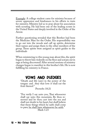Example: A college student came for ministry because of severe oppression and hindrances in his efforts to train for ministry. Ministry led us to pray about his association with scouting. He had been one of the leading scouts in the United States and deeply involved in the Order of the Arrow.

Further questioning revealed that this Brother had been the Medicine Man for the Order. His responsibility was to go out into the woods and call up spirits, determine their names and assign them to the other members of the group. These spirits were assigned as spirit guides to the individuals

When ministering to this young man about this, the spirit began to throw him violently on the floor and scream out in rage at being discovered! After several sessions of ministry changes began to manifest in this brother's life. He is now fulfilling his ministry in France.

## VOWS AND PLEDGES

"Death and life [are] in the power of the tongue: and they that love it shall eat the fruit thereof."

Proverbs 18:21

"For verily I say unto you, That whosoever shall say unto this mountain, Be thou removed and be thou cast into the sea and shall not doubt in his heart, but shall believe that those things which he saith shall come to pass; he shall have whatsoever he saith." Mark 1:23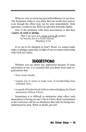What we vow or swear has powerful influence in our lives. The Scriptures make it very plain that our words have power, even though the effect may not be seen immediately. Only ignorance would let any Believer take this principle lightly.

One of the problems with most associations is that they re**quire an oath or pledge.**

> "But I say unto you, swear not at all; neither by heaven; for it is God's throne." Matthew 5:34

If we are to be obedient to God's Word, we cannot make oaths or pledges especially in light of out covenant relationship with God our Father.

## SUGGESTIONS

Whether you can detect any oppression because of some association or nor, it is essential that you demit from such organizations that:

- have secret rituals;
- require you to swear or make vows of membership; have initiation rites;
- or speak of brotherhood without acknowledging the blood atonement of Jesus Christ.

Sometimes it is difficult to determine what effect such association is having on one's life in Christ. Real commitment to the Lord may call for an obedience that calls for being misunderstood by men. When in doubt, get out!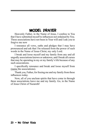## MODEL PRAYER

Heavenly Father, in the Name of Jesus, I confess to You that I have submitted myself to influences not ordained by You. These associations have not been in Your will and I ask you to forgive me now

I renounce all vows, oaths and pledges that I may have pronounced and ask that I be released from the power of such words in the Name of Jesus Christ, my only Lord.

I break and loose myself and my family from any and all ungodly associations known or unknown, and I break all curses that may be operating in my or my family's life because of any such associations.

I specifically renounce and break and loose myself from (name the associations).

Thank you, Father, for freeing me and my family from these influences today.

Now, all of you unclean spirits that have come in through these associations leave me and my family. Go, in the Name of Jesus Christ of Nazareth!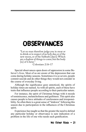## **OBSERVANCES**

"Let no man therefore judge you in meat or in drink or in respect of an holy day, or of the new moon, or of the Sabbath [days]: Which are a shadow of things to come; but the body [is] of Christ."

Colossians 2:16-17

Special observances open doors of oppression in some Believer's lives. Most of us are aware of the depression that can come during holiday seasons. Sometimes it is so severe, people commit suicide and do other things they would not consider in the course of everyday living.

Although the significance goes unnoticed, the spirits of holiday times are named. As with all spirits, each of these have traits that influence people according to their particular nature.

For instance, the spirit of Christmas brings with it moods of reminiscence, melancholiness and guiltiness. This spirit also causes people to have attitudes of carelessness and irresponsibility. So often there is a great sense of "letdown" following this season due to participation in the influences of the Christmas spirit.

Experience has taught us that the greater the need to defend any particular holiday or observance is sure indication of a problem in the life of one who needs such gratification.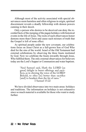Although most of the activity associated with special observances seem harmless and often religious in origin, spiritual discernment reveals a deadly fellowship with demon powers cunning in their deceit.

Only a person who desires to be deceived can deny the recorded facts of the merging of the pagan holidays with historical events in the life of Jesus. The roots of such observances honor demons more than Christ and cause such mixture of truth that the Gospel is left of none effect.

As spiritual people under the new covenant, our celebrations focus on Jesus Christ as a full-grown Son of God Who died for the sins of the world. Israel of the Old Testament had external celebrations by observing the three feasts instituted by God. Now we celebrate the feasts inwardly through Jesus, Who fulfilled them. The only external observances for believers today are the Lord's Supper or Communion and water baptism.

> "And Samuel said, Hath the LORD [as great] delight in burnt offerings and sacrifices, as in obeying the voice of the LORD? Behold, to obey [is] better than sacrifice [and] to hearken than the fat of rams. " I Samuel 15:22

We have divided observance into two main areas: holidays and traditions. The information on holidays is not exhaustive since so much material is available for those who want to study further.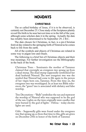## HOLIDAYS

#### **CHRISTMAS**

The so called birthday of Jesus, if it is to be observed, is certainly not December 25. Close study of the Scriptures plainly reveal His birth to be near harvest time or in the fall of the year, although some scholars date it in the spring. Actually the date has reliably been determined to be September 29, 2 B.C.

The date chosen for Christmas, in fact, is a pre-Christian festival day related to the springing forth of Nimrod as he comes back to life from the earth.

All of the symbols and objects of Christmas are related in some way to pagan lore and rituals.

The following is a brief list of Christmas objects and their true meanings. For further investigation see the Bibliography in the back of the book.

Christmas Trees - Semiramis the mother of Tammuz claimed that overnight an evergreen tree sprang up from a dead stump. The dead stump supposedly symbolized her dead husband Nimrod. The new evergreen tree was the symbol that Nimrod had come to life again in the person of her virgin born son, Tammuz. From this time on, the evergreen tree was worshipped. In at least ten Bible references, the "green" tree is associated with idolatry and false worship.

Tree Decorations - "Balls" symbolize the sun and represent the worship of Nimrod who was supposed to be the god of the sun. Lights on the trees originally were candles that were burned to the god of lights - Februa - today electric lights are used.

Gifts - Supposedly gifts were found under the evergreen tree that sprang up, so from that time to this, gifts are given on December  $\tilde{2}5\tilde{t}h$  in honor of the birth of  $\tilde{T}$ ammuz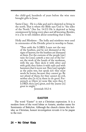the child-god, hundreds of years before the wise men brought gifts to Jesus.

Santa Claus - He is a fake god and is depicted as living in the north. That is where the Bible says God is: "the sides of the North." (See Isa. 14:13) He is depicted as being omnipresent by being every place and all knowing. Besides, it is a lie to tell children about something that is false.

Holly and Mistletoe - The holly and mistletoe were used in ceremonies of the Druidic priest in worship to Satan.

"Thus saith the LORD, Learn not the way of the heathen, and be not dismayed at the signs of heaven; for the heathen are dismayed at them. For the customs of the people [are]<br>vain: for [one] cutteth a tree out of the forest, the work of the hands of the workman, with the axe. They deck it with silver and with gold; they fasten it with nails and with hammers that it move not. They [are] upright as the palm tree, but speak not: they must needs be borne, because they cannot go. Be not afraid of them; for they cannot do evil,<br>neither also [is it] in them to do good. Forasmuch as [there is] none like unto thee, 0 LORD; thou [art] great, and thy ]name [is] great in might."

Jeremiah 10:2-6

#### **EASTER**

The word "Easter" is not a Christian expression. It is a modern form of the word Ishtar or Astarte, another name for Semiramis of Babylon. Although the church claims this holiday as Christian, honest investigation reveals it to be pagan to the root.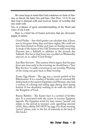We must keep in mind that God condones no form of fantasy or deceit. He hates lies and liars. (See Prov. 13:5) To say that God is pleased with and receives forms of worship that mix truth with

lies, is evidence of great misunderstanding of the Word and ways of our Lord.

Here is a brief list of Easter activities that are obviously pagan in nature:

Good Friday - Any third grader can calculate that, if Jesus was in the grave three days and three nights, He could not have been buried on Friday and risen on Sunday morning. A study of the feasts of the Old Testament will reveal that Passover was a Sabbath in addition to the seventh day Sabbath. The fact is that Jesus was crucified on Wednesday and not on so called "Good Friday."

Sun Rise Services - This custom which argues that because Jesus was risen early in the morning we should have a "Sun Rise Service," is really a reversion to sun worship. Worship of the rising sun goes back to Baal worship.

Easter Egg Hunts - The egg was a sacred symbol of the Babylonians. It is a symbol of fertility and of renewed life dating back to the ancient Egyptians and Persians, who had a custom of coloring and eating eggs during their spring festival. It has absolutely nothing to do with the faith of the Kingdom of God.

Bunny Rabbits - The Easter hare is a symbol of fertility also. It is associated with the moon in ancient Egyptian legends. The Egyptian word for hare means "period' and relates to the period in women's cycle signifying renewal of life. Also, rabbits DO NOT lay eggs. For those wanting "proof," please, refer to the list of materials in the back of this book.)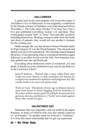#### **HALLOWEEN**

A quick look at any encyclopedia will reveal the origin of All Hallow's Eve or Halloween. It was originally a celebration by the Druids in honor of Samhain, lord of the dead and fell on November 1. The Celts chose October 31 as their New Year's Eve and celebrated everything wicked, evil and dead. They would gather around "bon" or "bone" fires and offer sacrifices including themselves. Wearing costumes made from the heads and skins of animals, they would tell one another's fortunes for the coming year.

Oddly enough, the very day chosen to honor Christian saints by Pope Gregory IV was the Druid Samhain. The old gods and beliefs were not to be surrendered. The Christian church adopted the policy of incorporating what is considered harmless pagan folkways in an effort to win over the folk. New branches were thus grafted onto the old Druid oak.

Everything about Halloween refers to witchcraft, evil and death. It should never be celebrated in any way by any Believer in the Lord Jesus Christ!

Jack-O-lanterns - Named after a man called Tack, who could not enter heaven or hell, symbolize the lantern he carried as he wandered in darkness until judgment day. The candle inside is to scare evil spirits away.

Trick-or-treat - Hundreds of years ago in Ireland, fanners went from house to house begging food for festivities in the name of their ancient gods. Good luck was promised to generous donors, and threats or "tricks" were made against those who would not give.

#### **VALENTINES DAY**

Valentines Day was originally a day set aside by the pagan Romans- in honor of Nimrod who was also named Lupercus or "wolf hunter." So another name for Nimrod is "Valentine." It is from this name relationship that we get our expression

#### 26 - No Other Gods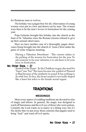for flirtatious men or wolves.

The holiday was a pagan free-for-all, when names of young women were put in a box and drawn out by men. The women were then to be the men's lovers in fornication for the coming year.

Pope Gelasius brought this holiday into the church as the feast of St. Valentine since the Roman citizens refused to give up their sensual observance.

Here we have another case of a thoroughly pagan observance being brought into the church of Jesus Christ under the guise of some religious meaning.

Having a Valentine Sweetheart - This custom relates to the picking of the women for fornication for the year. To ask someone to be your valentine is to ask them to be your lover in fornication.

#### No Other Gods  $-27$

Symbol of the Heart - In the Chaldean tongue, the word for "heart" was "bal." The heart became the symbol of Nimrod or Baal because of the similarity in sound. It has nothing to do with love. In fact, this heart symbol is not really shaped like a heart but refers to the female sexual organs.

## TRADITIONS

#### **WEDDINGS**

Most every aspect of wedding traditions are devoted to rites of magic and taboos. In general, the magic was designed to ward off barrenness and the evil eye of those who were jealous. Certainly the Lord wants us to marry in a fitting way, but it's His desire that we put away those customs that pagans used to bring "luck" and ward off evil spirits.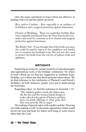Only the name and blood of Jesus Christ are effective in dealing with evil and the spirits involved.

Rice and/or Confetti - Rice especially is an emblem of fruitfulness and a magical protection against barrenness.

Flowers at Weddings - These too symbolize fertility. They were originally introduced from the Near East by the Crusaders and used for centuries as love charms and magical protection against barrenness.

The Bride's Veil - It was thought that if the bride was seen, she could do psychic injury to her neighbors and family, not to mention her husband to be. The veil was also used to protect the bride from the evil eye of jealous rivals and spinsters.

#### **BIRTHDAYS**

Surprising as it may be, casual research reveals deep pagan and superstitious roots of the birthday celebration. No where in God's Word can we find any suggestion to celebrate Jesus' birthday, nor is there any hint about personal observances. We do find reference to the celebration of Pharaoh's and Herod's birthdays. In both instances, people were put to death during the festivities.

Regarding cakes, we find this reference in Jeremiah 7:18 :

"The children gather wood, the fathers kin- dle the fire, and the women knead dough, to make cakes for the queen of heaven; and they pour out drink offerings to other gods, that they may provoke Me to anger."

The making of special cakes with candles and the "blowing out while making a wish" is obviously superstition which would divert our trust and hope for future well being to some source other than the Lord.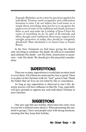Example: Birthdays can be a time for special recognition for individuals. Eveyone needs recognition and confirmation fromtime to time. I do not believe the Lord wants us to simply throw everything away, but for us to recognize the pagan roots of some of our traditions and rituals, renounce them as such and make the Lordship of Jesus Christ the center of everything we do. In spite of all rationale and effort, though, some traditional observances support such outright perversion of reality, they should be completely abandoned. There absolutely is no Santa Claus or Easter Bunny.

In the New Testament we find Jesus giving the church only one thing to celebrate: His death. He told us to remember and celebrate His death—not His birth, resurrection or ascension—only His death. We should give this prayerful consideration.

## **SUPERSTITIONS**

There are so many superstitions it would take an entire book to cover them. All of them are motivated by fear or greed. There is no place in the Christian walk for "luck" good or bad. Thank the Father that our lives are not ruled by fate or coincidence.

As long as any superstition is observed in one's life, demonic powers will have influence in that life. Fear, especially, will have grounds to oppress any such individual Christian or non-Christian.

## SUGGESTIONS

One sure sign that any holiday observance has some sway in your life is defensiveness about it. When presenting this material to groups, I have seen people react with strong emotions, insisting that they keep their holiday.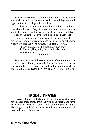Some would say that it's not that important if we go ahead and celebrate holidays. Others insist that the holidays are good opportunities to reach people for Christ.

Ask the Lord to show you any rationalization or stubbornness about this area. Pray for discernment about any unclean spirits that may have influence in your life in regard to holidays. Be open to the truth. See if these things be true (Acts 17:11)

Do some homework. "Be diligent to present yourself approved to God, a worker who does not need to be ashamed, rightly dividing the word of truth." (11 Tim. 2:15 NKJ)

> "Many therefore of his disciples when they had heard [This], said, This is an hard saying; who can hear it?"

John 6:60

Realize that some of the requirements of commitment to a Holy God are difficult, especially for the flesh. Also remember that the Lord has chosen the foolish things of the world to confound the wise. DON'T DRAW BACK! (Heb. 10:38-39)

### MODEL PRAYER

Heavenly Father, in the Name of Jesus, thank You that You have hidden these things from the wise and prudent, and have revealed them to babes. I come to You, humbling myself under Your mighty hand, asking to be made like a little child that I may understand Your ways.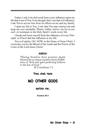Father, I ask to be delivered from every influence upon my life that is not of You. Even though I don't see that evil influence, I ask You to set me free from its effects on me and my family.

I open my life to You, Lord, that You may instruct me and keep me ever teachable. Please, Father, *deliver* me fro m *any stub-* or resistance to the Holy Spirit's work in my life.

I break and loose myself from the influence of every Principal- or Power that has influence in my life.

You evil spirits, GO, NOW, in the Name of Jesus Christ. I overcome you by the Blood of the Lamb and the Power of the Cross of the Lord Jesus Christ!

#### **AMEN!**

"Having therefore these promises dearly beloved, let us cleanse ourselves from all filthiness of flesh and spirit perfecting holiness in the fear of God. "

II Corinthians 7:1

#### Thou shalt have

### NO OTHER GODS

#### before me.

**Exodus 20:3**

No Other Gods  $-31$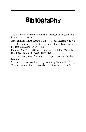## **Bibliography**

The History of Christmas, James L. Denison, The C.E.I. Publishing Co, Athens AL

Jesus and His Times, Reader's Digest Assoc., Pleasantville NY The Origin of Merry Christmas, Faith Bible & Tract Society, PO Box 321, Amherst OH 44001

Puppets, Are They A Snare to Believers' Idolatry? Mrs. Charlene Fite, Lanton Rt., West Plains MO

The Two Babylons, Alexander Hislop, Loizeaux Brothers, Neptune NJ

Voices From His Excellent Glory, Article by Glen Miller, "Keep Yourselves from Idols," Box 516, Hot Springs AR 71902